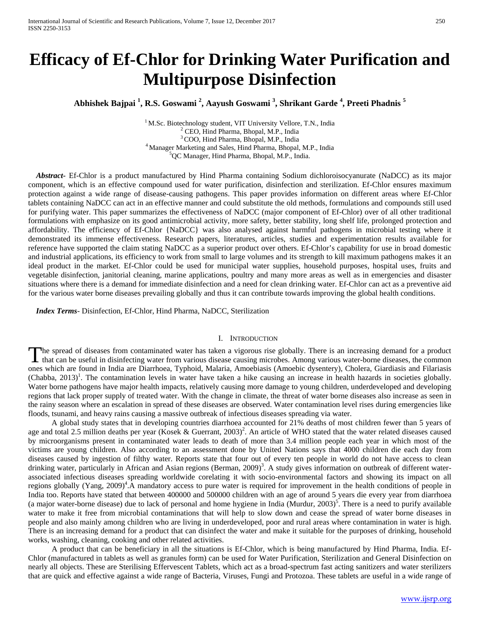# **Efficacy of Ef-Chlor for Drinking Water Purification and Multipurpose Disinfection**

**Abhishek Bajpai <sup>1</sup> , R.S. Goswami <sup>2</sup> , Aayush Goswami <sup>3</sup> , Shrikant Garde <sup>4</sup> , Preeti Phadnis <sup>5</sup>**

<sup>1</sup> M.Sc. Biotechnology student, VIT University Vellore, T.N., India  $2$  CEO, Hind Pharma, Bhopal, M.P., India  $3$  COO, Hind Pharma, Bhopal, M.P., India 4 Manager Marketing and Sales, Hind Pharma, Bhopal, M.P., India <sup>5</sup>QC Manager, Hind Pharma, Bhopal, M.P., India.

 *Abstract***-** Ef-Chlor is a product manufactured by Hind Pharma containing Sodium dichloroisocyanurate (NaDCC) as its major component, which is an effective compound used for water purification, disinfection and sterilization. Ef-Chlor ensures maximum protection against a wide range of disease-causing pathogens. This paper provides information on different areas where Ef-Chlor tablets containing NaDCC can act in an effective manner and could substitute the old methods, formulations and compounds still used for purifying water. This paper summarizes the effectiveness of NaDCC (major component of Ef-Chlor) over of all other traditional formulations with emphasize on its good antimicrobial activity, more safety, better stability, long shelf life, prolonged protection and affordability. The efficiency of Ef-Chlor {NaDCC} was also analysed against harmful pathogens in microbial testing where it demonstrated its immense effectiveness. Research papers, literatures, articles, studies and experimentation results available for reference have supported the claim stating NaDCC as a superior product over others. Ef-Chlor's capability for use in broad domestic and industrial applications, its efficiency to work from small to large volumes and its strength to kill maximum pathogens makes it an ideal product in the market. Ef-Chlor could be used for municipal water supplies, household purposes, hospital uses, fruits and vegetable disinfection, janitorial cleaning, marine applications, poultry and many more areas as well as in emergencies and disaster situations where there is a demand for immediate disinfection and a need for clean drinking water. Ef-Chlor can act as a preventive aid for the various water borne diseases prevailing globally and thus it can contribute towards improving the global health conditions.

 *Index Terms*- Disinfection, Ef-Chlor, Hind Pharma, NaDCC, Sterilization

### I. INTRODUCTION

The spread of diseases from contaminated water has taken a vigorous rise globally. There is an increasing demand for a product The spread of diseases from contaminated water has taken a vigorous rise globally. There is an increasing demand for a product that can be useful in disinfecting water from various disease causing microbes. Among various w ones which are found in India are Diarrhoea, Typhoid, Malaria, Amoebiasis (Amoebic dysentery), Cholera, Giardiasis and Filariasis  $(Chabba, 2013)^1$ . The contamination levels in water have taken a hike causing an increase in health hazards in societies globally. Water borne pathogens have major health impacts, relatively causing more damage to young children, underdeveloped and developing regions that lack proper supply of treated water. With the change in climate, the threat of water borne diseases also increase as seen in the rainy season where an escalation in spread of these diseases are observed. Water contamination level rises during emergencies like floods, tsunami, and heavy rains causing a massive outbreak of infectious diseases spreading via water.

 A global study states that in developing countries diarrhoea accounted for 21% deaths of most children fewer than 5 years of age and total 2.5 million deaths per year (Kosek & Guerrant, 2003)<sup>2</sup>. An article of WHO stated that the water related diseases caused by microorganisms present in contaminated water leads to death of more than 3.4 million people each year in which most of the victims are young children. Also according to an assessment done by United Nations says that 4000 children die each day from diseases caused by ingestion of filthy water. Reports state that four out of every ten people in world do not have access to clean drinking water, particularly in African and Asian regions (Berman, 2009)<sup>3</sup>. A study gives information on outbreak of different waterassociated infectious diseases spreading worldwide corelating it with socio-environmental factors and showing its impact on all regions globally (Yang, 2009)<sup>4</sup>. A mandatory access to pure water is required for improvement in the health conditions of people in India too. Reports have stated that between 400000 and 500000 children with an age of around 5 years die every year from diarrhoea (a major water-borne disease) due to lack of personal and home hygiene in India (Murdur, 2003)<sup>5</sup>. There is a need to purify available water to make it free from microbial contaminations that will help to slow down and cease the spread of water borne diseases in people and also mainly among children who are living in underdeveloped, poor and rural areas where contamination in water is high. There is an increasing demand for a product that can disinfect the water and make it suitable for the purposes of drinking, household works, washing, cleaning, cooking and other related activities.

 A product that can be beneficiary in all the situations is Ef-Chlor, which is being manufactured by Hind Pharma, India. Ef-Chlor (manufactured in tablets as well as granules form) can be used for Water Purification, Sterilization and General Disinfection on nearly all objects. These are Sterilising Effervescent Tablets, which act as a broad-spectrum fast acting sanitizers and water sterilizers that are quick and effective against a wide range of Bacteria, Viruses, Fungi and Protozoa. These tablets are useful in a wide range of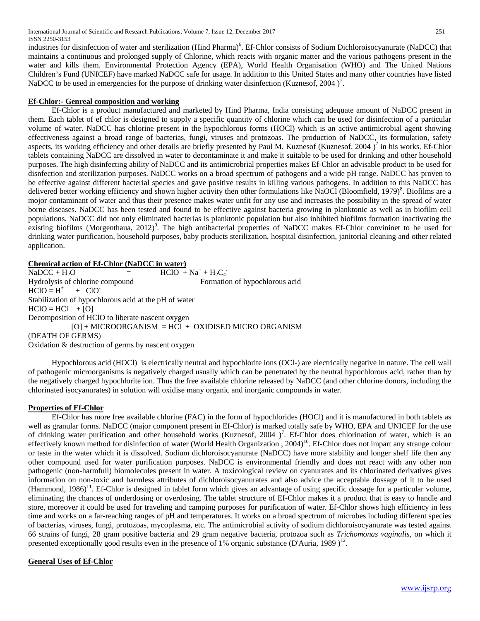International Journal of Scientific and Research Publications, Volume 7, Issue 12, December 2017 251 ISSN 2250-3153

industries for disinfection of water and sterilization (Hind Pharma)<sup>6</sup>. Ef-Chlor consists of Sodium Dichloroisocyanurate (NaDCC) that maintains a continuous and prolonged supply of Chlorine, which reacts with organic matter and the various pathogens present in the water and kills them. Environmental Protection Agency (EPA), World Health Organisation (WHO) and The United Nations Children's Fund (UNICEF) have marked NaDCC safe for usage. In addition to this United States and many other countries have listed NaDCC to be used in emergencies for the purpose of drinking water disinfection (Kuznesof, 2004)<sup>7</sup>.

### **Ef-Chlor:- Genreal composition and working**

 Ef-Chlor is a product manufactured and marketed by Hind Pharma, India consisting adequate amount of NaDCC present in them. Each tablet of ef chlor is designed to supply a specific quantity of chlorine which can be used for disinfection of a particular volume of water. NaDCC has chlorine present in the hypochlorous forms (HOCl) which is an active antimicrobial agent showing effectiveness against a broad range of bacterias, fungi, viruses and protozoas. The production of NaDCC, its formulation, safety aspects, its working efficiency and other details are briefly presented by Paul M. Kuznesof (Kuznesof, 2004)<sup>7</sup> in his works. Ef-Chlor tablets containing NaDCC are dissolved in water to decontaminate it and make it suitable to be used for drinking and other household purposes. The high disinfecting ability of NaDCC and its antimicrobrial properties makes Ef-Chlor an advisable product to be used for disnfection and sterilization purposes. NaDCC works on a broad spectrum of pathogens and a wide pH range. NaDCC has proven to be effective against different bacterial species and gave positive results in killing various pathogens. In addition to this NaDCC has delivered better working efficiency and shown higher activity then other formulations like NaOCl (Bloomfield, 1979)<sup>8</sup>. Biofilms are a mojor contaminant of water and thus their presence makes water unfit for any use and increases the possibility in the spread of water borne diseases. NaDCC has been tested and found to be effective against bacteria growing in planktonic as well as in biofilm cell populations. NaDCC did not only eliminated bacterias is planktonic population but also inhibited biofilms formation inactivating the existing biofilms (Morgenthaua, 2012)<sup>9</sup>. The high antibacterial properties of NaDCC makes Ef-Chlor convininet to be used for drinking water purification, household purposes, baby products sterilization, hospital disinfection, janitorial cleaning and other related application.

**Chemical action of Ef-Chlor (NaDCC in water)**

 $NaDCC + H_2O$  =  $HClO + Na^+ + H_2C_4$ Hydrolysis of chlorine compound Formation of hypochlorous acid  $HCIO = H^+$  $+$  ClO<sup>-</sup> Stabilization of hypochlorous acid at the pH of water  $HClO = HCl$  + [O] Decomposition of HClO to liberate nascent oxygen  $[O] + MICROORGANISM = HCl + OXIDISED MICRO ORGANISM$ (DEATH OF GERMS) Oxidation & destruction of germs by nascent oxygen

 Hypochlorous acid (HOCl) is electrically neutral and hypochlorite ions (OCl-) are electrically negative in nature. The cell wall of pathogenic microorganisms is negatively charged usually which can be penetrated by the neutral hypochlorous acid, rather than by the negatively charged hypochlorite ion. Thus the free available chlorine released by NaDCC (and other chlorine donors, including the chlorinated isocyanurates) in solution will oxidise many organic and inorganic compounds in water.

### **Properties of Ef-Chlor**

 Ef-Chlor has more free available chlorine (FAC) in the form of hypochlorides (HOCl) and it is manufactured in both tablets as well as granular forms. NaDCC (major component present in Ef-Chlor) is marked totally safe by WHO, EPA and UNICEF for the use of drinking water purification and other household works (Kuznesof, 2004 )<sup>7</sup>. Ef-Chlor does chlorination of water, which is an effectively known method for disinfection of water (World Health Organization,  $2004$ )<sup>10</sup>. Ef-Chlor does not impart any strange colour or taste in the water which it is dissolved. Sodium dichloroisocyanurate (NaDCC) have more stability and longer shelf life then any other compound used for water purification purposes. NaDCC is environmental friendly and does not react with any other non pathogenic (non-harmfull) biomolecules present in water. A toxicological review on cyanurates and its chlorinated derivatives gives information on non-toxic and harmless attributes of dichloroisocyanurates and also advice the acceptable dossage of it to be used (Hammond,  $1986$ <sup>11</sup>. Ef-Chlor is designed in tablet form which gives an advantage of using specific dossage for a particular volume, eliminating the chances of underdosing or overdosing. The tablet structure of Ef-Chlor makes it a product that is easy to handle and store, moreover it could be used for traveling and camping purposes for purification of water. Ef-Chlor shows high efficiency in less time and works on a far-reaching ranges of pH and temperatures. It works on a broad spectrum of microbes including different species of bacterias, viruses, fungi, protozoas, mycoplasma, etc. The antimicrobial activity of sodium dichloroisocyanurate was tested against 66 strains of fungi, 28 gram positive bacteria and 29 gram negative bacteria, protozoa such as *Trichomonas vaginalis*, on which it presented exceptionally good results even in the presence of 1% organic substance (D'Auria, 1989)<sup>12</sup>.

### **General Uses of Ef-Chlor**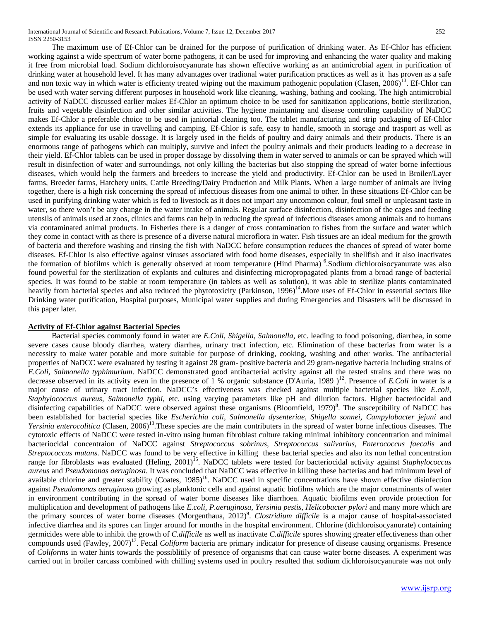International Journal of Scientific and Research Publications, Volume 7, Issue 12, December 2017 252 ISSN 2250-3153

 The maximum use of Ef-Chlor can be drained for the purpose of purification of drinking water. As Ef-Chlor has efficient working against a wide spectrum of water borne pathogens, it can be used for improving and enhancing the water quality and making it free from microbial load. Sodium dichloroisocyanurate has shown effective working as an antimicrobial agent in purification of drinking water at household level. It has many advantages over tradional water purification practices as well as it has proven as a safe and non toxic way in which water is efficienty treated wiping out the maximum pathogenic population (Clasen,  $2006$ )<sup>13</sup>. Ef-Chlor can be used with water serving different purposes in household work like cleaning, washing, bathing and cooking. The high antimicrobial activity of NaDCC discussed earlier makes Ef-Chlor an optimum choice to be used for sanitization applications, bottle sterilization, fruits and vegetable disinfection and other similar activities. The hygiene maintaning and disease controling capability of NaDCC makes Ef-Chlor a preferable choice to be used in janitorial cleaning too. The tablet manufacturing and strip packaging of Ef-Chlor extends its appliance for use in travelling and camping. Ef-Chlor is safe, easy to handle, smooth in storage and trasport as well as simple for evaluating its usable dossage. It is largely used in the fields of poultry and dairy animals and their products. There is an enormous range of pathogens which can multiply, survive and infect the poultry animals and their products leading to a decrease in their yield. Ef-Chlor tablets can be used in proper dossage by dissolving them in water served to animals or can be sprayed which will result in disinfection of water and surroundings, not only killing the bacterias but also stopping the spread of water borne infectious diseases, which would help the farmers and breeders to increase the yield and productivity. Ef-Chlor can be used in Broiler/Layer farms, Breeder farms, Hatchery units, Cattle Breeding/Dairy Production and Milk Plants. When a large number of animals are living together, there is a high risk concerning the spread of infectious diseases from one animal to other. In these situations Ef-Chlor can be used in purifying drinking water which is fed to livestock as it does not impart any uncommon colour, foul smell or unpleasant taste in water, so there won't be any change in the water intake of animals. Regular surface disinfection, disinfection of the cages and feeding utensils of animals used at zoos, clinics and farms can help in reducing the spread of infectious diseases among animals and to humans via contaminated animal products. In Fisheries there is a danger of cross contamination to fishes from the surface and water which they come in contact with as there is presence of a diverse natural microflora in water. Fish tissues are an ideal medium for the growth of bacteria and therefore washing and rinsing the fish with NaDCC before consumption reduces the chances of spread of water borne diseases. Ef-Chlor is also effective against viruses associated with food borne diseases, especially in shellfish and it also inactivates the formation of biofilms which is generally observed at room temperature (Hind Pharma)<sup>6</sup>. Sodium dichloroisocyanurate was also found powerful for the sterilization of explants and cultures and disinfecting micropropagated plants from a broad range of bacterial species. It was found to be stable at room temperature (in tablets as well as solution), it was able to sterilize plants contaminated heavily from bacterial species and also reduced the phytotoxicity (Parkinson, 1996)<sup>14</sup>. More uses of Ef-Chlor in essential sectors like Drinking water purification, Hospital purposes, Municipal water supplies and during Emergencies and Disasters will be discussed in this paper later.

### **Activity of Ef-Chlor against Bacterial Species**

 Bacterial species commonly found in water are *E.Coli, Shigella, Salmonella*, etc. leading to food poisoning, diarrhea, in some severe cases cause bloody diarrhea, watery diarrhea, urinary tract infection, etc. Elimination of these bacterias from water is a necessity to make water potable and more suitable for purpose of drinking, cooking, washing and other works. The antibacterial properties of NaDCC were evaluated by testing it against 28 gram- positive bacteria and 29 gram-negative bacteria including strains of *E.Coli, Salmonella typhimurium*. NaDCC demonstrated good antibacterial activity against all the tested strains and there was no decrease observed in its activity even in the presence of  $\overline{1}$  % organic substance (D'Auria, 1989)<sup>12</sup>. Presence of *E.Coli* in water is a major cause of urinary tract infection. NaDCC's effectiveness was checked against multiple bacterial species like *E.coli, Staphylococcus aureus, Salmonella typhi,* etc. using varying parameters like pH and dilution factors. Higher bacteriocidal and disinfecting capabilities of NaDCC were observed against these organisms (Bloomfield, 1979)<sup>8</sup>. The susceptibility of NaDCC has been established for bacterial species like *Escherichia coli, Salmonella dysenteriae, Shigella sonnei, Campylobacter jejuni* and *Yersinia enterocolitica* (Clasen, 2006)<sup>13</sup>. These species are the main contributers in the spread of water borne infectious diseases. The cytotoxic effects of NaDCC were tested in-vitro using human fibroblast culture taking minimal inhibitory concentration and minimal bacteriocidal concentraion of NaDCC against *Streptococcus sobrinus, Streptococcus salivarius, Enterococcus faecalis* and *Streptococcus mutans*. NaDCC was found to be very effective in killing these bacterial species and also its non lethal concentration range for fibroblasts was evaluated (Heling, 2001)<sup>15</sup>. NaDCC tablets were tested for bacteriocidal activity against *Staphylococcus aureus* and *Pseudomonas aeruginosa*. It was concluded that NaDCC was effective in killing these bacterias and had minimum level of available chlorine and greater stability (Coates,  $1985$ )<sup>16</sup>. NaDCC used in specific concentrations have shown effective disinfection against *Pseudomonas aeruginosa* growing as planktonic cells and against aquatic biofilms which are the major conatminants of water in environment contributing in the spread of water borne diseases like diarrhoea. Aquatic biofilms even provide protection for multiplication and development of pathogens like *E.coli, P.aeruginosa, Yersinia pestis, Helicobacter pylori* and many more which are the primary sources of water borne diseases (Morgenthaua, 2012)<sup>9</sup>. *Clostridium difficile* is a major cause of hospital-associated infective diarrhea and its spores can linger around for months in the hospital environment. Chlorine (dichloroisocyanurate) containing germicides were able to inhibit the growth of *C.difficile* as well as inactivate *C.difficile* spores showing greater effectiveness than other compounds used (Fawley, 2007)<sup>17</sup>. Fecal *Coliform* bacteria are primary indicator for presence of disease causing organisms. Presence of *Coliforms* in water hints towards the possiblitily of presence of organisms that can cause water borne diseases. A experiment was carried out in broiler carcass combined with chilling systems used in poultry resulted that sodium dichloroisocyanurate was not only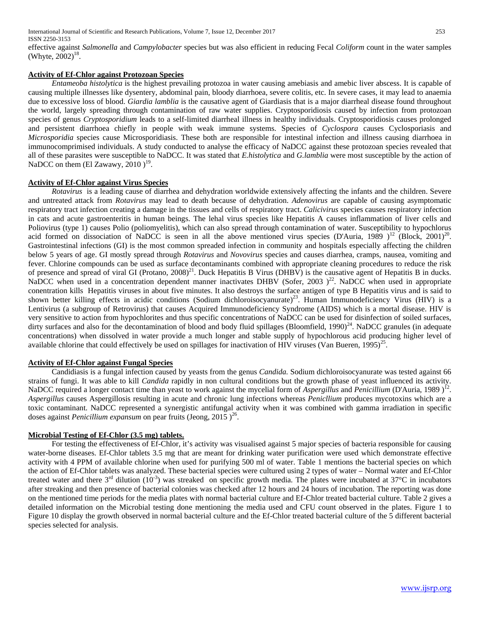effective against *Salmonella* and *Campylobacter* species but was also efficient in reducing Fecal *Coliform* count in the water samples (Whyte,  $2002$ )<sup>18</sup>.

### **Activity of Ef-Chlor against Protozoan Species**

 *Entameoba histolytica* is the highest prevailing protozoa in water causing amebiasis and amebic liver abscess. It is capable of causing multiple illnesses like dysentery, abdominal pain, bloody diarrhoea, severe colitis, etc. In severe cases, it may lead to anaemia due to excessive loss of blood. *Giardia lamblia* is the causative agent of Giardiasis that is a major diarrheal disease found throughout the world, largely spreading through contamination of raw water supplies. Cryptosporidiosis caused by infection from protozoan species of genus *Cryptosporidium* leads to a self-limited diarrheal illness in healthy individuals. Cryptosporidiosis causes prolonged and persistent diarrhoea chiefly in people with weak immune systems. Species of *Cyclospora* causes Cyclosporiasis and *Microsporidia* species cause Microsporidiasis. These both are responsible for intestinal infection and illness causing diarrhoea in immunocomprimised individuals. A study conducted to analyse the efficacy of NaDCC against these protozoan species revealed that all of these parasites were susceptible to NaDCC. It was stated that *E.histolytica* and *G.lamblia* were most susceptible by the action of NaDCC on them (El Zawawy, 2010)<sup>19</sup>.

### **Activity of Ef-Chlor against Virus Species**

 *Rotavirus* is a leading cause of diarrhea and dehydration worldwide extensively affecting the infants and the children. Severe and untreated attack from *Rotavirus* may lead to death because of dehydration. *Adenovirus* are capable of causing asymptomatic respiratory tract infection creating a damage in the tissues and cells of respiratory tract. *Calicivirus* species causes respiratory infection in cats and acute gastroenteritis in human beings. The lehal virus species like Hepatitis A causes inflammation of liver cells and Poliovirus (type 1) causes Polio (poliomyelitis), which can also spread through contamination of water. Susceptibility to hypochlorus acid formed on dissociation of NaDCC is seen in all the above mentioned virus species (D'Auria, 1989 )<sup>12</sup> (Block, 2001)<sup>20</sup>. Gastrointestinal infections (GI) is the most common spreaded infection in community and hospitals especially affecting the children below 5 years of age. GI mostly spread through *Rotavirus* and *Novovirus* species and causes diarrhea, cramps, nausea, vomiting and fever. Chlorine compounds can be used as surface decontaminants combined with appropriate cleaning procedures to reduce the risk of presence and spread of viral GI (Protano, 2008)<sup>21</sup>. Duck Hepatitis B Virus (DHBV) is the causative agent of Hepatitis B in ducks. NaDCC when used in a concentration dependent manner inactivates DHBV (Sofer, 2003)<sup>22</sup>. NaDCC when used in appropriate conentration kills Hepatitis viruses in about five minutes. It also destroys the surface antigen of type B Hepatitis virus and is said to shown better killing effects in acidic conditions (Sodium dichloroisocyanurate)<sup>23</sup>. Human Immunodeficiency Virus (HIV) is a Lentivirus (a subgroup of Retrovirus) that causes Acquired Immunodeficiency Syndrome (AIDS) which is a mortal disease. HIV is very sensitive to action from hypochlorites and thus specific concentrations of NaDCC can be used for disinfection of soiled surfaces, dirty surfaces and also for the decontamination of blood and body fluid spillages (Bloomfield,  $1990)^{24}$ . NaDCC granules (in adequate concentrations) when dissolved in water provide a much longer and stable supply of hypochlorous acid producing higher level of available chlorine that could effectively be used on spillages for inactivation of HIV viruses (Van Bueren,  $1995)^{25}$ .

### **Activity of Ef-Chlor against Fungal Species**

 Candidiasis is a fungal infection caused by yeasts from the genus *Candida.* Sodium dichloroisocyanurate was tested against 66 strains of fungi. It was able to kill *Candida* rapidly in non cultural conditions but the growth phase of yeast influenced its activity. NaDCC required a longer contact time than yeast to work against the mycelial form of *Aspergillus* and *Penicillium* (D'Auria, 1989)<sup>12</sup>. *Aspergillus* causes Aspergillosis resulting in acute and chronic lung infections whereas *Penicllium* produces mycotoxins which are a toxic contaminant. NaDCC represented a synergistic antifungal activity when it was combined with gamma irradiation in specific doses against *Penicillium expansum* on pear fruits (Jeong, 2015)<sup>26</sup>.

### **Microbial Testing of Ef-Chlor (3.5 mg) tablets.**

 For testing the effectiveness of Ef-Chlor, it's activity was visualised against 5 major species of bacteria responsible for causing water-borne diseases. Ef-Chlor tablets 3.5 mg that are meant for drinking water purification were used which demonstrate effective activity with 4 PPM of available chlorine when used for purifying 500 ml of water. Table 1 mentions the bacterial species on which the action of Ef-Chlor tablets was analyzed. These bacterial species were cultured using 2 types of water – Normal water and Ef-Chlor treated water and there  $3^{rd}$  dilution (10<sup>-3</sup>) was streaked on specific growth media. The plates were incubated at 37°C in incubators after streaking and then presence of bacterial colonies was checked after 12 hours and 24 hours of incubation. The reporting was done on the mentioned time periods for the media plates with normal bacterial culture and Ef-Chlor treated bacterial culture. Table 2 gives a detailed information on the Microbial testing done mentioning the media used and CFU count observed in the plates. Figure 1 to Figure 10 display the growth observed in normal bacterial culture and the Ef-Chlor treated bacterial culture of the 5 different bacterial species selected for analysis.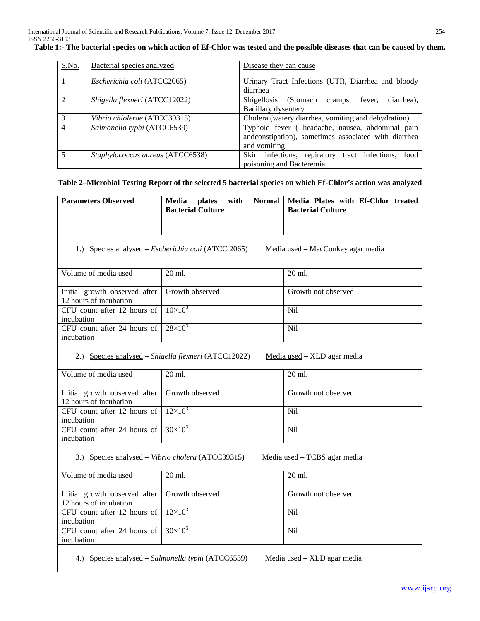| S.No.                    | Bacterial species analyzed       | Disease they can cause                                                                                                    |  |  |
|--------------------------|----------------------------------|---------------------------------------------------------------------------------------------------------------------------|--|--|
|                          | Escherichia coli (ATCC2065)      | Urinary Tract Infections (UTI), Diarrhea and bloody<br>diarrhea                                                           |  |  |
| $\mathcal{D}$            | Shigella flexneri (ATCC12022)    | Shigellosis (Stomach<br>diarrhea).<br>fever,<br>cramps,<br>Bacillary dysentery                                            |  |  |
| 3                        | Vibrio chlolerae (ATCC39315)     | Cholera (watery diarrhea, vomiting and dehydration)                                                                       |  |  |
| $\overline{4}$           | Salmonella typhi (ATCC6539)      | Typhoid fever ( headache, nausea, abdominal pain<br>andconstipation), sometimes associated with diarrhea<br>and vomiting. |  |  |
| $\overline{\phantom{0}}$ | Staphylococcus aureus (ATCC6538) | Skin infections, repiratory<br>tract infections,<br>food<br>poisoning and Bacteremia                                      |  |  |

# **Table 1:- The bacterial species on which action of Ef-Chlor was tested and the possible diseases that can be caused by them.**

# **Table 2–Microbial Testing Report of the selected 5 bacterial species on which Ef-Chlor's action was analyzed**

| <b>Parameters Observed</b>                                                        | Media<br><b>Normal</b><br>plates<br>with             | Media Plates with Ef-Chlor treated |  |  |  |
|-----------------------------------------------------------------------------------|------------------------------------------------------|------------------------------------|--|--|--|
|                                                                                   | <b>Bacterial Culture</b>                             | <b>Bacterial Culture</b>           |  |  |  |
|                                                                                   |                                                      |                                    |  |  |  |
|                                                                                   |                                                      |                                    |  |  |  |
|                                                                                   | 1.) Species analysed – Escherichia coli (ATCC 2065)  | Media used - MacConkey agar media  |  |  |  |
|                                                                                   |                                                      |                                    |  |  |  |
| Volume of media used                                                              | 20 ml.                                               | 20 ml.                             |  |  |  |
|                                                                                   |                                                      |                                    |  |  |  |
| Initial growth observed after                                                     | Growth observed                                      | Growth not observed                |  |  |  |
| 12 hours of incubation                                                            |                                                      |                                    |  |  |  |
| CFU count after 12 hours of<br>incubation                                         | $10\times10^{3}$                                     | Nil                                |  |  |  |
| CFU count after 24 hours of                                                       | $28 \times 10^3$                                     | Nil                                |  |  |  |
| incubation                                                                        |                                                      |                                    |  |  |  |
|                                                                                   |                                                      |                                    |  |  |  |
|                                                                                   | 2.) Species analysed - Shigella flexneri (ATCC12022) | Media used - XLD agar media        |  |  |  |
| Volume of media used                                                              | 20 ml.                                               | 20 ml.                             |  |  |  |
|                                                                                   |                                                      |                                    |  |  |  |
| Initial growth observed after                                                     | Growth observed                                      | Growth not observed                |  |  |  |
| 12 hours of incubation                                                            |                                                      |                                    |  |  |  |
| CFU count after 12 hours of                                                       | $12\times10^3$                                       | <b>Nil</b>                         |  |  |  |
| incubation<br>CFU count after 24 hours of                                         | $30 \times 10^3$                                     | Nil                                |  |  |  |
| incubation                                                                        |                                                      |                                    |  |  |  |
|                                                                                   |                                                      |                                    |  |  |  |
| 3.) Species analysed – Vibrio cholera (ATCC39315)<br>Media used - TCBS agar media |                                                      |                                    |  |  |  |
| Volume of media used                                                              | 20 ml.                                               | 20 ml.                             |  |  |  |
|                                                                                   |                                                      |                                    |  |  |  |
| Initial growth observed after                                                     | Growth observed                                      | Growth not observed                |  |  |  |
| 12 hours of incubation                                                            |                                                      |                                    |  |  |  |
| CFU count after 12 hours of                                                       | $12\times10^3$                                       | <b>Nil</b>                         |  |  |  |
| incubation                                                                        |                                                      |                                    |  |  |  |
| CFU count after 24 hours of                                                       | $30 \times 10^3$                                     | Nil                                |  |  |  |
| incubation                                                                        |                                                      |                                    |  |  |  |
| 4.) Species analysed – Salmonella typhi (ATCC6539)<br>Media used - XLD agar media |                                                      |                                    |  |  |  |
|                                                                                   |                                                      |                                    |  |  |  |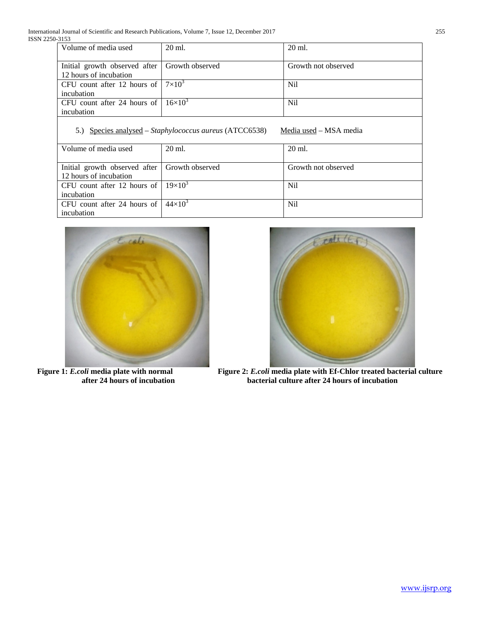| Volume of media used                                       | 20 ml. | 20 ml.              |
|------------------------------------------------------------|--------|---------------------|
|                                                            |        |                     |
| Initial growth observed after   Growth observed            |        | Growth not observed |
| 12 hours of incubation                                     |        |                     |
| CFU count after 12 hours of $ 7\times10^3$                 |        | <b>Nil</b>          |
| incubation                                                 |        |                     |
| CFU count after 24 hours of $\vert 16 \times 10^{3} \vert$ |        | Nil                 |
| incubation                                                 |        |                     |
|                                                            |        |                     |

# 5.) Species analysed - Staphylococcus aureus (ATCC6538) Media used - MSA media

| Volume of media used                            | 20 ml. | $20 \text{ ml}$ .   |
|-------------------------------------------------|--------|---------------------|
|                                                 |        |                     |
| Initial growth observed after   Growth observed |        | Growth not observed |
| 12 hours of incubation                          |        |                     |
| CFU count after 12 hours of $19\times10^{3}$    |        | <b>Nil</b>          |
| incubation                                      |        |                     |
| CFU count after 24 hours of $44 \times 10^3$    |        | <b>Nil</b>          |
| incubation                                      |        |                     |





**Figure 1:** *E.coli* media plate with normal Figure 2: *E.coli* media plate with Ef-Chlor treated bacterial culture after 24 hours of incubation bacterial culture after 24 hours of incubation **after 24 hours of incubation bacterial culture after 24 hours of incubation**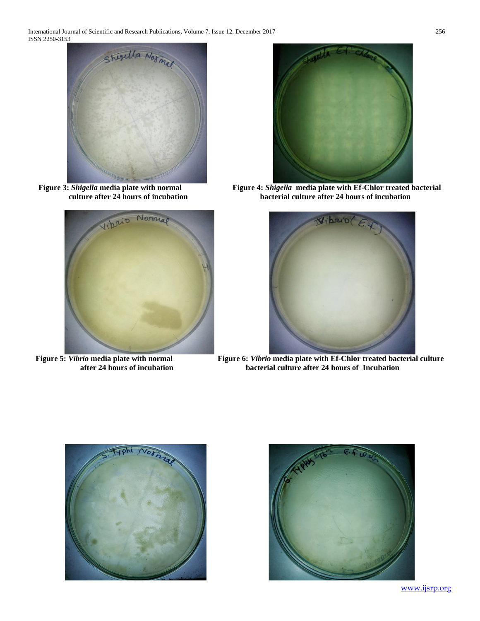





**Figure** 3: *Shigella* **media plate with normal Figure 4:** *Shigella* **media plate with Ef-Chlor treated bacterial <b>F**igure 4: *Shigella* media plate with Ef-Chlor treated bacterial **culture after 24 hours of incubation bacterial culture after 24 hours of incubation**



**Figure 5:** *Vibrio* media plate with normal Figure 6: *Vibrio* media plate with Ef-Chlor treated bacterial culture after 24 hours of incubation bacterial culture after 24 hours of Incubation bacterial culture after 24 hours of Incubation



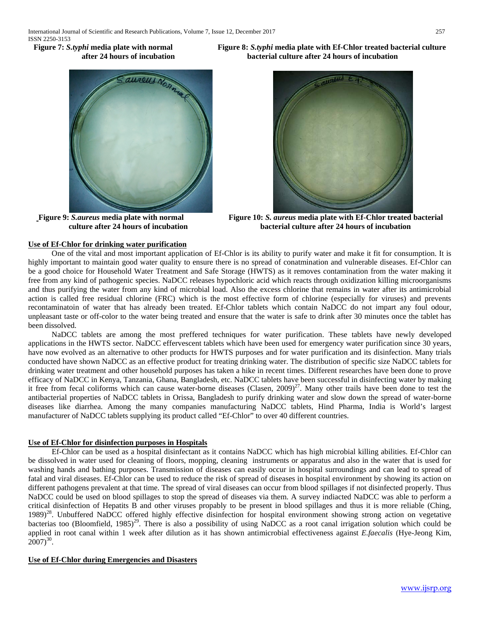

# **Use of Ef-Chlor for drinking water purification**

**Figure 7:** *S.typhi* **media plate with normal Figure 8:** *S.typhi* **media plate with Ef-Chlor treated bacterial culture after 24 hours of incubation bacterial culture after 24 hours of incubation**



 **Figure 9:** *S.aureus* **media plate with normal Figure 10:** *S. aureus* **media plate with Ef-Chlor treated bacterial culture after 24 hours of incubation bacterial culture after 24 hours of incubation**

 One of the vital and most important application of Ef-Chlor is its ability to purify water and make it fit for consumption. It is highly important to maintain good water quality to ensure there is no spread of conatmination and vulnerable diseases. Ef-Chlor can be a good choice for Household Water Treatment and Safe Storage (HWTS) as it removes contamination from the water making it free from any kind of pathogenic species. NaDCC releases hypochloric acid which reacts through oxidization killing microorganisms and thus purifying the water from any kind of microbial load. Also the excess chlorine that remains in water after its antimicrobial action is called free residual chlorine (FRC) which is the most effective form of chlorine (especially for viruses) and prevents recontaminatoin of water that has already been treated. Ef-Chlor tablets which contain NaDCC do not impart any foul odour, unpleasant taste or off-color to the water being treated and ensure that the water is safe to drink after 30 minutes once the tablet has been dissolved.

 NaDCC tablets are among the most preffered techniques for water purification. These tablets have newly developed applications in the HWTS sector. NaDCC effervescent tablets which have been used for emergency water purification since 30 years, have now evolved as an alternative to other products for HWTS purposes and for water purification and its disinfection. Many trials conducted have shown NaDCC as an effective product for treating drinking water. The distribution of specific size NaDCC tablets for drinking water treatment and other household purposes has taken a hike in recent times. Different researches have been done to prove efficacy of NaDCC in Kenya, Tanzania, Ghana, Bangladesh, etc. NaDCC tablets have been successful in disinfecting water by making it free from fecal coliforms which can cause water-borne diseases (Clasen,  $2009)^{27}$ . Many other trails have been done to test the antibacterial properties of NaDCC tablets in Orissa, Bangladesh to purify drinking water and slow down the spread of water-borne diseases like diarrhea. Among the many companies manufacturing NaDCC tablets, Hind Pharma, India is World's largest manufacturer of NaDCC tablets supplying its product called "Ef-Chlor" to over 40 different countries.

# **Use of Ef-Chlor for disinfection purposes in Hospitals**

 Ef-Chlor can be used as a hospital disinfectant as it contains NaDCC which has high microbial killing abilities. Ef-Chlor can be dissolved in water used for cleaning of floors, mopping, cleaning instruments or apparatus and also in the water that is used for washing hands and bathing purposes. Transmission of diseases can easily occur in hospital surroundings and can lead to spread of fatal and viral diseases. Ef-Chlor can be used to reduce the risk of spread of diseases in hospital environment by showing its action on different pathogens prevalent at that time. The spread of viral diseases can occur from blood spillages if not disinfected properly. Thus NaDCC could be used on blood spillages to stop the spread of diseases via them. A survey indiacted NaDCC was able to perform a critical disinfection of Hepatits B and other viruses propably to be present in blood spillages and thus it is more reliable (Ching, 1989)<sup>28</sup>. Unbuffered NaDCC offered highly effective disinfection for hospital environment showing strong action on vegetative bacterias too (Bloomfield, 1985)<sup>29</sup>. There is also a possibility of using NaDCC as a root canal irrigation solution which could be applied in root canal within 1 week after dilution as it has shown antimicrobial effectiveness against *E.faecalis* (Hye-Jeong Kim,  $2007)^{30}$ .

# **Use of Ef-Chlor during Emergencies and Disasters**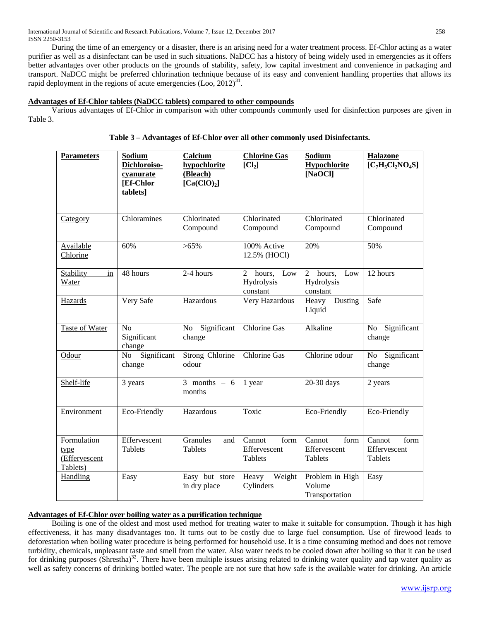During the time of an emergency or a disaster, there is an arising need for a water treatment process. Ef-Chlor acting as a water purifier as well as a disinfectant can be used in such situations. NaDCC has a history of being widely used in emergencies as it offers better advantages over other products on the grounds of stability, safety, low capital investment and convenience in packaging and transport. NaDCC might be preferred chlorination technique because of its easy and convenient handling properties that allows its rapid deployment in the regions of acute emergencies  $($ Loo,  $2012)$ <sup>31</sup>.

# **Advantages of Ef-Chlor tablets (NaDCC tablets) compared to other compounds**

 Various advantages of Ef-Chlor in comparison with other compounds commonly used for disinfection purposes are given in Table 3.

| <b>Parameters</b>                                | <b>Sodium</b><br>Dichloroiso-<br>cyanurate<br>[Ef-Chlor<br>tablets] | Calcium<br>hypochlorite<br>(Bleach)<br>[Ca(CIO) <sub>2</sub> ] | <b>Chlorine Gas</b><br>[Cl <sub>2</sub> ]        | Sodium<br><b>Hypochlorite</b><br>[NaOCl]                  | <b>Halazone</b><br>$[C_7H_5Cl_2NO_4S]$    |
|--------------------------------------------------|---------------------------------------------------------------------|----------------------------------------------------------------|--------------------------------------------------|-----------------------------------------------------------|-------------------------------------------|
| Category                                         | Chloramines                                                         | Chlorinated<br>Compound                                        | Chlorinated<br>Compound                          | Chlorinated<br>Compound                                   | Chlorinated<br>Compound                   |
| Available<br>Chlorine                            | 60%                                                                 | $>65\%$                                                        | 100% Active<br>12.5% (HOCl)                      | 20%                                                       | 50%                                       |
| Stability<br>in<br><b>Water</b>                  | 48 hours                                                            | 2-4 hours                                                      | hours,<br>Low<br>2<br>Hydrolysis<br>constant     | $\overline{2}$<br>hours,<br>Low<br>Hydrolysis<br>constant | 12 hours                                  |
| Hazards                                          | Very Safe                                                           | Hazardous                                                      | Very Hazardous                                   | Heavy<br>Dusting<br>Liquid                                | Safe                                      |
| Taste of Water                                   | N <sub>o</sub><br>Significant<br>change                             | Significant<br><b>No</b><br>change                             | <b>Chlorine Gas</b>                              | Alkaline                                                  | Significant<br>No<br>change               |
| Odour                                            | No Significant<br>change                                            | <b>Strong Chlorine</b><br>odour                                | <b>Chlorine Gas</b>                              | Chlorine odour                                            | Significant<br><b>No</b><br>change        |
| Shelf-life                                       | 3 years                                                             | 3 months $-6$<br>months                                        | 1 year                                           | 20-30 days                                                | 2 years                                   |
| Environment                                      | Eco-Friendly                                                        | Hazardous                                                      | Toxic                                            | Eco-Friendly                                              | Eco-Friendly                              |
| Formulation<br>type<br>(Effervescent<br>Tablets) | Effervescent<br>Tablets                                             | Granules<br>and<br><b>Tablets</b>                              | Cannot<br>form<br>Effervescent<br><b>Tablets</b> | Cannot<br>form<br>Effervescent<br>Tablets                 | Cannot<br>form<br>Effervescent<br>Tablets |
| Handling                                         | Easy                                                                | Easy but store<br>in dry place                                 | Weight<br>Heavy<br>Cylinders                     | Problem in High<br>Volume<br>Transportation               | Easy                                      |

|  | Table 3 – Advantages of Ef-Chlor over all other commonly used Disinfectants. |
|--|------------------------------------------------------------------------------|
|  |                                                                              |

# **Advantages of Ef-Chlor over boiling water as a purification technique**

 Boiling is one of the oldest and most used method for treating water to make it suitable for consumption. Though it has high effectiveness, it has many disadvantages too. It turns out to be costly due to large fuel consumption. Use of firewood leads to deforestation when boiling water procedure is being performed for household use. It is a time consuming method and does not remove turbidity, chemicals, unpleasant taste and smell from the water. Also water needs to be cooled down after boiling so that it can be used for drinking purposes (Shrestha)<sup>32</sup>. There have been multiple issues arising related to drinking water quality and tap water quality as well as safety concerns of drinking bottled water. The people are not sure that how safe is the available water for drinking. An article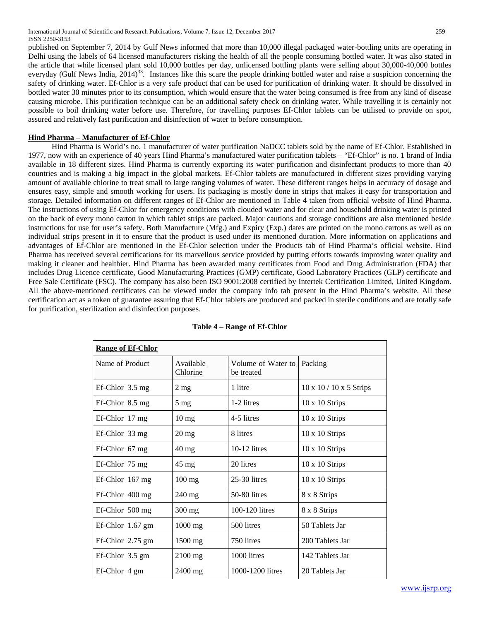published on September 7, 2014 by Gulf News informed that more than 10,000 illegal packaged water-bottling units are operating in Delhi using the labels of 64 licensed manufacturers risking the health of all the people consuming bottled water. It was also stated in the article that while licensed plant sold 10,000 bottles per day, unlicensed bottling plants were selling about 30,000-40,000 bottles everyday (Gulf News India, 2014)<sup>33</sup>. Instances like this scare the people drinking bottled water and raise a suspicion concerning the safety of drinking water. Ef-Chlor is a very safe product that can be used for purification of drinking water. It should be dissolved in bottled water 30 minutes prior to its consumption, which would ensure that the water being consumed is free from any kind of disease causing microbe. This purification technique can be an additional safety check on drinking water. While travelling it is certainly not possible to boil drinking water before use. Therefore, for travelling purposes Ef-Chlor tablets can be utilised to provide on spot, assured and relatively fast purification and disinfection of water to before consumption.

# **Hind Pharma – Manufacturer of Ef-Chlor**

 Hind Pharma is World's no. 1 manufacturer of water purification NaDCC tablets sold by the name of Ef-Chlor. Established in 1977, now with an experience of 40 years Hind Pharma's manufactured water purification tablets – "Ef-Chlor" is no. 1 brand of India available in 18 different sizes. Hind Pharma is currently exporting its water purification and disinfectant products to more than 40 countries and is making a big impact in the global markets. Ef-Chlor tablets are manufactured in different sizes providing varying amount of available chlorine to treat small to large ranging volumes of water. These different ranges helps in accuracy of dosage and ensures easy, simple and smooth working for users. Its packaging is mostly done in strips that makes it easy for transportation and storage. Detailed information on different ranges of Ef-Chlor are mentioned in Table 4 taken from official website of Hind Pharma. The instructions of using Ef-Chlor for emergency conditions with clouded water and for clear and household drinking water is printed on the back of every mono carton in which tablet strips are packed. Major cautions and storage conditions are also mentioned beside instructions for use for user's safety. Both Manufacture (Mfg.) and Expiry (Exp.) dates are printed on the mono cartons as well as on individual strips present in it to ensure that the product is used under its mentioned duration. More information on applications and advantages of Ef-Chlor are mentioned in the Ef-Chlor selection under the Products tab of Hind Pharma's official website. Hind Pharma has received several certifications for its marvellous service provided by putting efforts towards improving water quality and making it cleaner and healthier. Hind Pharma has been awarded many certificates from Food and Drug Administration (FDA) that includes Drug Licence certificate, Good Manufacturing Practices (GMP) certificate, Good Laboratory Practices (GLP) certificate and Free Sale Certificate (FSC). The company has also been ISO 9001:2008 certified by Intertek Certification Limited, United Kingdom. All the above-mentioned certificates can be viewed under the company info tab present in the Hind Pharma's website. All these certification act as a token of guarantee assuring that Ef-Chlor tablets are produced and packed in sterile conditions and are totally safe for purification, sterilization and disinfection purposes.

| <b>Range of Ef-Chlor</b>     |                              |                                  |                                     |
|------------------------------|------------------------------|----------------------------------|-------------------------------------|
| Name of Product              | <b>Available</b><br>Chlorine | Volume of Water to<br>be treated | Packing                             |
| $Ef$ -Chlor $3.5 \text{ mg}$ | $2 \text{ mg}$               | 1 litre                          | $10 \times 10 / 10 \times 5$ Strips |
| $Ef-Chlor 8.5 mg$            | $5 \text{ mg}$               | 1-2 litres                       | $10 \times 10$ Strips               |
| $Ef-Chlor$ 17 mg             | $10 \text{ mg}$              | 4-5 litres                       | $10 \times 10$ Strips               |
| $Ef-Chlor$ 33 mg             | $20 \text{ mg}$              | 8 litres                         | $10 \times 10$ Strips               |
| $Ef-Chlor 67 mg$             | $40 \text{ mg}$              | $10-12$ litres                   | $10 \times 10$ Strips               |
| $Ef$ -Chlor 75 mg            | $45 \text{ mg}$              | 20 litres                        | $10 \times 10$ Strips               |
| $Ef$ -Chlor 167 mg           | $100 \text{ mg}$             | $25-30$ litres                   | $10 \times 10$ Strips               |
| Ef-Chlor 400 mg              | 240 mg                       | 50-80 litres                     | 8 x 8 Strips                        |
| $Ef$ -Chlor 500 mg           | $300$ mg                     | 100-120 litres                   | 8 x 8 Strips                        |
| $Ef-Chlor$ 1.67 gm           | $1000$ mg                    | 500 litres                       | 50 Tablets Jar                      |
| $Ef-Chlor 2.75 gm$           | $1500$ mg                    | 750 litres                       | 200 Tablets Jar                     |
| $Ef-Chlor$ 3.5 gm            | $2100$ mg                    | 1000 litres                      | 142 Tablets Jar                     |
| Ef-Chlor 4 gm                | $2400$ mg                    | 1000-1200 litres                 | 20 Tablets Jar                      |

# **Table 4 – Range of Ef-Chlor**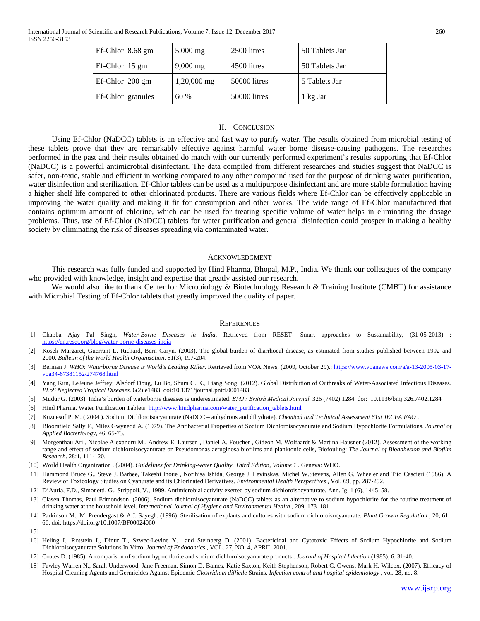| Ef-Chlor 8.68 gm  | $5,000 \text{ mg}$ | 2500 litres  | 50 Tablets Jar |
|-------------------|--------------------|--------------|----------------|
| Ef-Chlor 15 gm    | $9,000$ mg         | 4500 litres  | 50 Tablets Jar |
| Ef-Chlor 200 gm   | $1,20,000$ mg      | 50000 litres | 5 Tablets Jar  |
| Ef-Chlor granules | 60 %               | 50000 litres | 1 kg Jar       |

#### II. CONCLUSION

 Using Ef-Chlor (NaDCC) tablets is an effective and fast way to purify water. The results obtained from microbial testing of these tablets prove that they are remarkably effective against harmful water borne disease-causing pathogens. The researches performed in the past and their results obtained do match with our currently performed experiment's results supporting that Ef-Chlor (NaDCC) is a powerful antimicrobial disinfectant. The data compiled from different researches and studies suggest that NaDCC is safer, non-toxic, stable and efficient in working compared to any other compound used for the purpose of drinking water purification, water disinfection and sterilization. Ef-Chlor tablets can be used as a multipurpose disinfectant and are more stable formulation having a higher shelf life compared to other chlorinated products. There are various fields where Ef-Chlor can be effectively applicable in improving the water quality and making it fit for consumption and other works. The wide range of Ef-Chlor manufactured that contains optimum amount of chlorine, which can be used for treating specific volume of water helps in eliminating the dosage problems. Thus, use of Ef-Chlor (NaDCC) tablets for water purification and general disinfection could prosper in making a healthy society by eliminating the risk of diseases spreading via contaminated water.

#### ACKNOWLEDGMENT

 This research was fully funded and supported by Hind Pharma, Bhopal, M.P., India. We thank our colleagues of the company who provided with knowledge, insight and expertise that greatly assisted our research.

We would also like to thank Center for Microbiology & Biotechnology Research & Training Institute (CMBT) for assistance with Microbial Testing of Ef-Chlor tablets that greatly improved the quality of paper.

#### **REFERENCES**

- [1] Chabba Ajay Pal Singh, *Water-Borne Diseases in India*. Retrieved from RESET- Smart approaches to Sustainability, (31-05-2013) : <https://en.reset.org/blog/water-borne-diseases-india>
- [2] Kosek Margaret, Guerrant L. Richard, Bern Caryn. (2003). The global burden of diarrhoeal disease, as estimated from studies published between 1992 and 2000. *Bulletin of the World Health Organization*. 81(3), 197-204.
- [3] Berman J. *WHO: Waterborne Disease is World's Leading Killer*. Retrieved from VOA News, (2009, October 29).: [https://www.voanews.com/a/a-13-2005-03-17](https://www.voanews.com/a/a-13-2005-03-17-voa34-67381152/274768.html) [voa34-67381152/274768.html](https://www.voanews.com/a/a-13-2005-03-17-voa34-67381152/274768.html)
- [4] Yang Kun, LeJeune Jeffrey, Alsdorf Doug, Lu Bo, Shum C. K., Liang Song. (2012). Global Distribution of Outbreaks of Water-Associated Infectious Diseases. *PLoS Neglected Tropical Diseases*. 6(2):e1483. doi:10.1371/journal.pntd.0001483.
- [5] Mudur G. (2003). India's burden of waterborne diseases is underestimated. *BMJ : British Medical Journal*. 326 (7402):1284. doi: 10.1136/bmj.326.7402.1284
- [6] Hind Pharma. Water Purification Tablets[: http://www.hindpharma.com/water\\_purification\\_tablets.html](http://www.hindpharma.com/water_purification_tablets.html)
- [7] Kuznesof P. M. ( 2004 ). Sodium Dichloroisocyanurate (NaDCC anhydrous and dihydrate). *Chemical and Technical Assessment 61st JECFA FAO* .
- [8] Bloomfield Sally F., Miles Gwynedd A. (1979). The Antibacterial Properties of Sodium Dichloroisocyanurate and Sodium Hypochlorite Formulations. *Journal of Applied Bacteriology*, 46, 65-73.
- [9] Morgenthau Ari , Nicolae Alexandru M., Andrew E. Laursen , Daniel A. Foucher , Gideon M. Wolfaardt & Martina Hausner (2012). Assessment of the working range and effect of sodium dichloroisocyanurate on Pseudomonas aeruginosa biofilms and planktonic cells, Biofouling: *The Journal of Bioadhesion and Biofilm Research*. 28:1, 111-120.
- [10] World Health Organization . (2004). *Guidelines for Drinking-water Quality, Third Edition, Volume 1 .* Geneva: WHO.
- [11] Hammond Bruce G., Steve J. Barbee, Takeshi Inoue , Norihisa Ishida, George J. Levinskas, Michel W.Stevens, Allen G. Wheeler and Tito Cascieri (1986). A Review of Toxicology Studies on Cyanurate and its Chlorinated Derivatives. *Environmental Health Perspectives* , Vol. 69, pp. 287-292.
- [12] D'Auria, F.D., Simonetti, G., Strippoli, V., 1989. Antimicrobial activity exerted by sodium dichloroisocyanurate. Ann. Ig. 1 (6), 1445–58.
- [13] Clasen Thomas, Paul Edmondson. (2006). Sodium dichloroisocyanurate (NaDCC) tablets as an alternative to sodium hypochlorite for the routine treatment of drinking water at the household level. *International Journal of Hygiene and Environmental Health* , 209, 173-181.
- [14] Parkinson M., M. Prendergast & A.J. Sayegh. (1996). Sterilisation of explants and cultures with sodium dichloroisocyanurate. *Plant Growth Regulation* , 20, 61– 66. doi: https://doi.org/10.1007/BF00024060
- [15]
- [16] Heling I., Rotstein I., Dinur T., Szwec-Levine Y. and Steinberg D. (2001). Bactericidal and Cytotoxic Effects of Sodium Hypochlorite and Sodium Dichloroisocyanurate Solutions In Vitro. *Journal of Endodontics* , VOL. 27, NO. 4, APRIL 2001.
- [17] Coates D. (1985). A comparison of sodium hypochlorite and sodium dichloroisocyanurate products . *Journal of Hospital Infection* (1985), 6, 31-40.
- [18] Fawley Warren N., Sarah Underwood, Jane Freeman, Simon D. Baines, Katie Saxton, Keith Stephenson, Robert C. Owens, Mark H. Wilcox. (2007). Efficacy of Hospital Cleaning Agents and Germicides Against Epidemic *Clostridium difficile* Strains. *Infection control and hospital epidemiology* , vol. 28, no. 8.